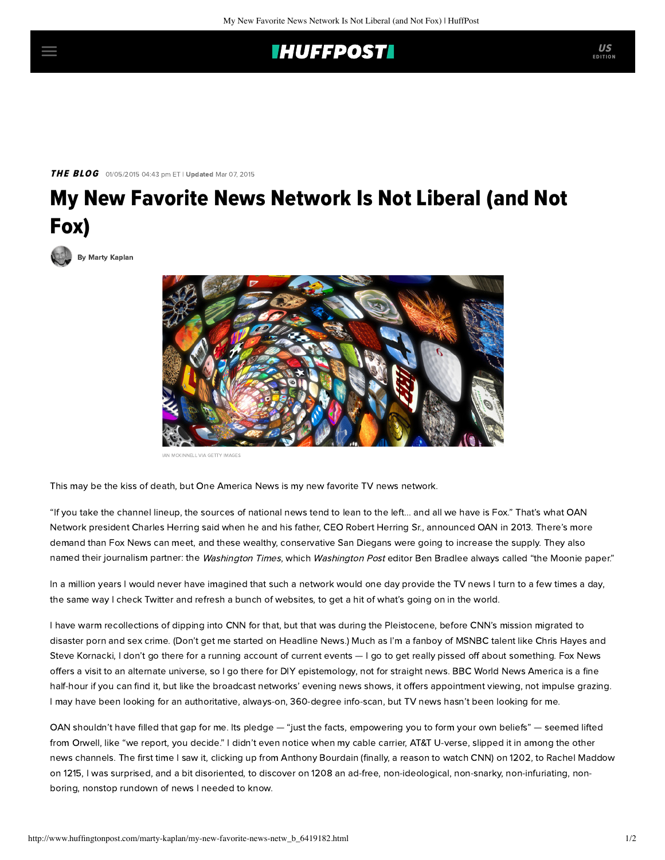## **IHUFFPOSTI**

THE BLOG 01/05/2015 04:43 pm ET | Updated Mar 07, 2015

## My New Favorite News Network Is Not Liberal (and Not Fox)

[By Marty Kaplan](http://www.huffingtonpost.com/author/marty-kaplan)



IAN MCKINNELL VIA GETTY IMAGES

This may be the kiss of death, but [One America News](http://www.oann.com/) is my new favorite TV news network.

"If you take the channel lineup, the sources of national news tend to lean to the left... and all we have is Fox." That's what OAN Network president Charles Herring [said](http://www.thedailybeast.com/articles/2013/03/14/one-america-news-network-new-conservative-cable-channel-sets-launch.html) when he and his father, CEO Robert Herring Sr., announced OAN in 2013. There's more demand than Fox News can meet, and these wealthy, conservative San Diegans were going to increase the supply. They also named their [journalism partner](http://www.washingtontimes.com/blog/marketing/2013/may/30/one-america-news-cable-news-network-announces-debu/): the Washington Times, which Washington Post editor Ben Bradlee always called "the Moonie paper."

In a million years I would never have imagined that such a network would one day provide the TV news I turn to a few times a day, the same way I check Twitter and refresh a bunch of websites, to get a hit of what's going on in the world.

I have warm recollections of dipping into CNN for that, but that was during the Pleistocene, before CNN's mission migrated to disaster porn and sex crime. (Don't get me started on Headline News.) Much as I'm a fanboy of MSNBC talent like Chris Hayes and Steve Kornacki, I don't go there for a running account of current events — I go to get really pissed off about something. Fox News offers a visit to an alternate universe, so I go there for DIY epistemology, not for straight news. BBC World News America is a fine half-hour if you can find it, but like the broadcast networks' evening news shows, it offers appointment viewing, not impulse grazing. I may have been looking for an authoritative, always-on, 360-degree info-scan, but TV news hasn't been looking for me.

OAN shouldn't have filled that gap for me. Its pledge — "just the facts, empowering you to form your own beliefs" — seemed lifted from Orwell, like "we report, you decide." I didn't even notice when my cable carrier, AT&T U-verse, slipped it in among the other news channels. The first time I saw it, clicking up from Anthony Bourdain (finally, a reason to watch CNN) on 1202, to Rachel Maddow on 1215, I was surprised, and a bit disoriented, to discover on 1208 an ad-free, non-ideological, non-snarky, non-infuriating, nonboring, nonstop rundown of news I needed to know.